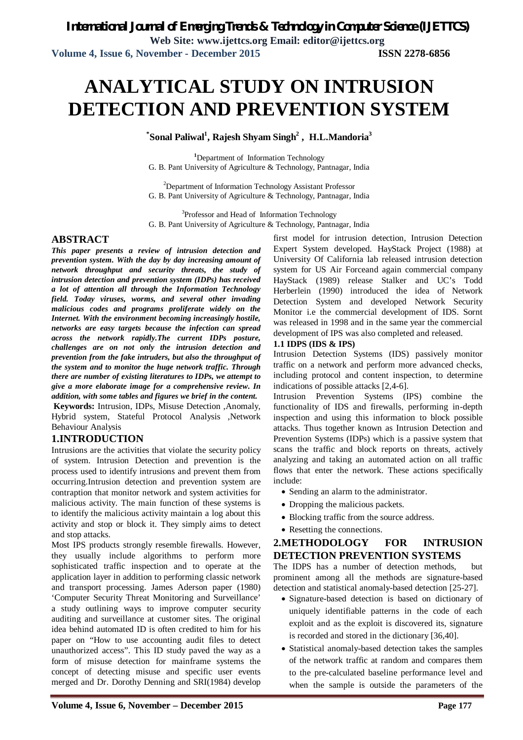*International Journal of Emerging Trends & Technology in Computer Science (IJETTCS)* **Web Site: www.ijettcs.org Email: editor@ijettcs.org Volume 4, Issue 6, November - December 2015 ISSN 2278-6856**

# **ANALYTICAL STUDY ON INTRUSION DETECTION AND PREVENTION SYSTEM**

**\* Sonal Paliwal<sup>1</sup> , Rajesh Shyam Singh<sup>2</sup> , H.L.Mandoria<sup>3</sup>**

**<sup>1</sup>**Department of Information Technology G. B. Pant University of Agriculture & Technology, Pantnagar, India

<sup>2</sup>Department of Information Technology Assistant Professor G. B. Pant University of Agriculture & Technology, Pantnagar, India

<sup>3</sup>Professor and Head of Information Technology G. B. Pant University of Agriculture & Technology, Pantnagar, India

#### **ABSTRACT**

*This paper presents a review of intrusion detection and prevention system. With the day by day increasing amount of network throughput and security threats, the study of intrusion detection and prevention system (IDPs) has received a lot of attention all through the Information Technology field. Today viruses, worms, and several other invading malicious codes and programs proliferate widely on the Internet. With the environment becoming increasingly hostile, networks are easy targets because the infection can spread across the network rapidly.The current IDPs posture, challenges are on not only the intrusion detection and prevention from the fake intruders, but also the throughput of the system and to monitor the huge network traffic. Through there are number of existing literatures to IDPs, we attempt to give a more elaborate image for a comprehensive review. In addition, with some tables and figures we brief in the content.*

**Keywords:** Intrusion, IDPs, Misuse Detection ,Anomaly, Hybrid system, Stateful Protocol Analysis ,Network Behaviour Analysis

#### **1.INTRODUCTION**

Intrusions are the activities that violate the security policy of system. Intrusion Detection and prevention is the process used to identify intrusions and prevent them from occurring.Intrusion detection and prevention system are contraption that monitor network and system activities for malicious activity. The main function of these systems is to identify the malicious activity maintain a log about this activity and stop or block it. They simply aims to detect and stop attacks.

Most IPS products strongly resemble firewalls. However, they usually include algorithms to perform more sophisticated traffic inspection and to operate at the application layer in addition to performing classic network and transport processing. James Aderson paper (1980) 'Computer Security Threat Monitoring and Surveillance' a study outlining ways to improve computer security auditing and surveillance at customer sites. The original idea behind automated ID is often credited to him for his paper on "How to use accounting audit files to detect unauthorized access". This ID study paved the way as a form of misuse detection for mainframe systems the concept of detecting misuse and specific user events merged and Dr. Dorothy Denning and SRI(1984) develop

first model for intrusion detection, Intrusion Detection Expert System developed. HayStack Project (1988) at University Of California lab released intrusion detection system for US Air Forceand again commercial company HayStack (1989) release Stalker and UC's Todd Herberlein (1990) introduced the idea of Network Detection System and developed Network Security Monitor i.e the commercial development of IDS. Sornt was released in 1998 and in the same year the commercial development of IPS was also completed and released.

#### **1.1 IDPS (IDS & IPS)**

Intrusion Detection Systems (IDS) passively monitor traffic on a network and perform more advanced checks, including protocol and content inspection, to determine indications of possible attacks [2,4-6].

Intrusion Prevention Systems (IPS) combine the functionality of IDS and firewalls, performing in-depth inspection and using this information to block possible attacks. Thus together known as Intrusion Detection and Prevention Systems (IDPs) which is a passive system that scans the traffic and block reports on threats, actively analyzing and taking an automated action on all traffic flows that enter the network. These actions specifically include:

- Sending an alarm to the administrator.
- Dropping the malicious packets.
- Blocking traffic from the source address.
- Resetting the connections.

#### **2.METHODOLOGY FOR INTRUSION DETECTION PREVENTION SYSTEMS**

The IDPS has a number of detection methods, but prominent among all the methods are signature-based detection and statistical anomaly-based detection [25-27].

- Signature-based detection is based on dictionary of uniquely identifiable patterns in the code of each exploit and as the exploit is discovered its, signature is recorded and stored in the dictionary [36,40].
- Statistical anomaly-based detection takes the samples of the network traffic at random and compares them to the pre-calculated baseline performance level and when the sample is outside the parameters of the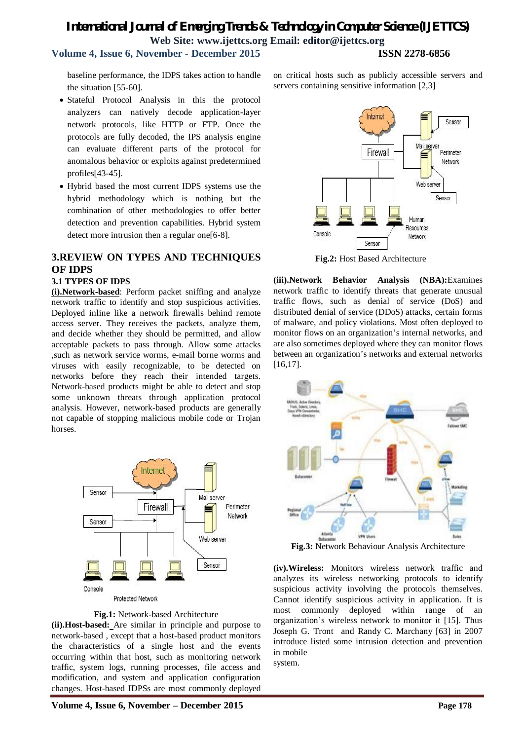## **Volume 4, Issue 6, November - December 2015 ISSN 2278-6856**

baseline performance, the IDPS takes action to handle the situation [55-60].

- Stateful Protocol Analysis in this the protocol analyzers can natively decode application-layer network protocols, like HTTP or FTP. Once the protocols are fully decoded, the IPS analysis engine can evaluate different parts of the protocol for anomalous behavior or exploits against predetermined profiles[43-45].
- Hybrid based the most current IDPS systems use the hybrid methodology which is nothing but the combination of other methodologies to offer better detection and prevention capabilities. Hybrid system detect more intrusion then a regular one[6-8].

#### **3.REVIEW ON TYPES AND TECHNIQUES OF IDPS**

#### **3.1 TYPES OF IDPS**

**(i).Network-based**: Perform packet sniffing and analyze network traffic to identify and stop suspicious activities. Deployed inline like a network firewalls behind remote access server. They receives the packets, analyze them, and decide whether they should be permitted, and allow acceptable packets to pass through. Allow some attacks ,such as network service worms, e-mail borne worms and viruses with easily recognizable, to be detected on networks before they reach their intended targets. Network-based products might be able to detect and stop some unknown threats through application protocol analysis. However, network-based products are generally not capable of stopping malicious mobile code or Trojan horses.



Protected Network

#### **Fig.1:** Network-based Architecture

**(ii).Host-based:** Are similar in principle and purpose to network-based , except that a host-based product monitors the characteristics of a single host and the events occurring within that host, such as monitoring network traffic, system logs, running processes, file access and modification, and system and application configuration changes. Host-based IDPSs are most commonly deployed on critical hosts such as publicly accessible servers and servers containing sensitive information [2,3]



**(iii).Network Behavior Analysis (NBA):**Examines network traffic to identify threats that generate unusual traffic flows, such as denial of service (DoS) and distributed denial of service (DDoS) attacks, certain forms of malware, and policy violations. Most often deployed to monitor flows on an organization's internal networks, and are also sometimes deployed where they can monitor flows between an organization's networks and external networks [16,17].



**Fig.3:** Network Behaviour Analysis Architecture

**(iv).Wireless:** Monitors wireless network traffic and analyzes its wireless networking protocols to identify suspicious activity involving the protocols themselves. Cannot identify suspicious activity in application. It is most commonly deployed within range of an organization's wireless network to monitor it [15]. Thus Joseph G. Tront and Randy C. Marchany [63] in 2007 introduce listed some intrusion detection and prevention in mobile

system.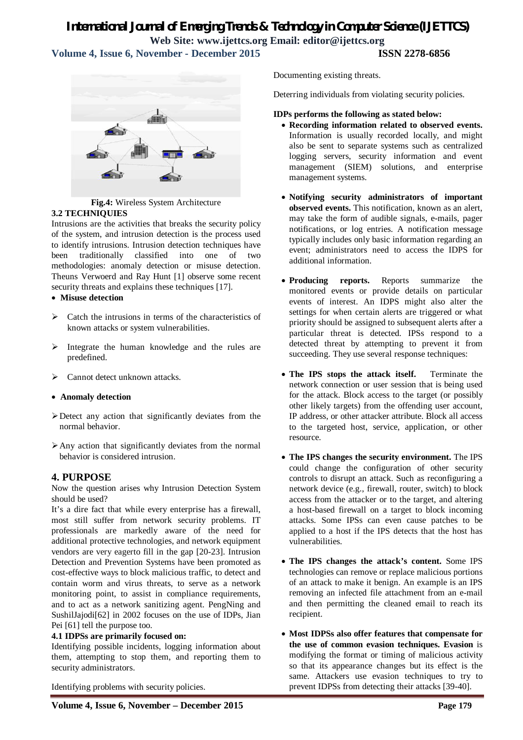### *International Journal of Emerging Trends & Technology in Computer Science (IJETTCS)* **Web Site: www.ijettcs.org Email: editor@ijettcs.org Volume 4, Issue 6, November - December 2015 ISSN 2278-6856**



**Fig.4:** Wireless System Architecture **3.2 TECHNIQUIES**

Intrusions are the activities that breaks the security policy of the system, and intrusion detection is the process used to identify intrusions. Intrusion detection techniques have been traditionally classified into one of two methodologies: anomaly detection or misuse detection. Theuns Verwoerd and Ray Hunt [1] observe some recent security threats and explains these techniques [17].

**Misuse detection**

- $\triangleright$  Catch the intrusions in terms of the characteristics of known attacks or system vulnerabilities.
- $\triangleright$  Integrate the human knowledge and the rules are predefined.
- Cannot detect unknown attacks.

#### **Anomaly detection**

- Detect any action that significantly deviates from the normal behavior.
- $\triangleright$  Any action that significantly deviates from the normal behavior is considered intrusion.

#### **4. PURPOSE**

Now the question arises why Intrusion Detection System should be used?

It's a dire fact that while every enterprise has a firewall, most still suffer from network security problems. IT professionals are markedly aware of the need for additional protective technologies, and network equipment vendors are very eagerto fill in the gap [20-23]. Intrusion Detection and Prevention Systems have been promoted as cost-effective ways to block malicious traffic, to detect and contain worm and virus threats, to serve as a network monitoring point, to assist in compliance requirements, and to act as a network sanitizing agent. PengNing and SushilJajodi[62] in 2002 focuses on the use of IDPs, Jian Pei [61] tell the purpose too.

#### **4.1 IDPSs are primarily focused on:**

Identifying possible incidents, logging information about them, attempting to stop them, and reporting them to security administrators.

Identifying problems with security policies.

Documenting existing threats.

Deterring individuals from violating security policies.

#### **IDPs performs the following as stated below:**

- **Recording information related to observed events.** Information is usually recorded locally, and might also be sent to separate systems such as centralized logging servers, security information and event management (SIEM) solutions, and enterprise management systems.
- **Notifying security administrators of important observed events.** This notification, known as an alert, may take the form of audible signals, e-mails, pager notifications, or log entries. A notification message typically includes only basic information regarding an event; administrators need to access the IDPS for additional information.
- **Producing reports.** Reports summarize the monitored events or provide details on particular events of interest. An IDPS might also alter the settings for when certain alerts are triggered or what priority should be assigned to subsequent alerts after a particular threat is detected. IPSs respond to a detected threat by attempting to prevent it from succeeding. They use several response techniques:
- The IPS stops the attack itself. Terminate the network connection or user session that is being used for the attack. Block access to the target (or possibly other likely targets) from the offending user account, IP address, or other attacker attribute. Block all access to the targeted host, service, application, or other resource.
- **The IPS changes the security environment.** The IPS could change the configuration of other security controls to disrupt an attack. Such as reconfiguring a network device (e.g., firewall, router, switch) to block access from the attacker or to the target, and altering a host-based firewall on a target to block incoming attacks. Some IPSs can even cause patches to be applied to a host if the IPS detects that the host has vulnerabilities.
- **The IPS changes the attack's content.** Some IPS technologies can remove or replace malicious portions of an attack to make it benign. An example is an IPS removing an infected file attachment from an e-mail and then permitting the cleaned email to reach its recipient.
- **Most IDPSs also offer features that compensate for the use of common evasion techniques. Evasion** is modifying the format or timing of malicious activity so that its appearance changes but its effect is the same. Attackers use evasion techniques to try to prevent IDPSs from detecting their attacks [39-40].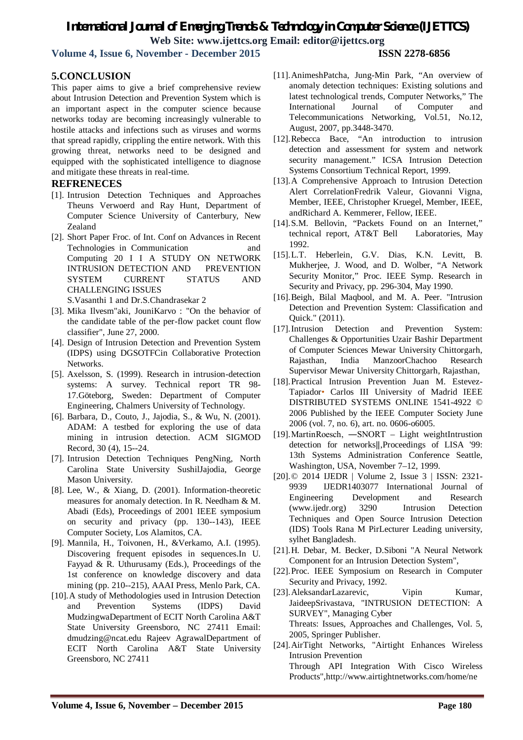**Volume 4, Issue 6, November - December 2015 ISSN 2278-6856**

### **5.CONCLUSION**

This paper aims to give a brief comprehensive review about Intrusion Detection and Prevention System which is an important aspect in the computer science because networks today are becoming increasingly vulnerable to hostile attacks and infections such as viruses and worms that spread rapidly, crippling the entire network. With this growing threat, networks need to be designed and equipped with the sophisticated intelligence to diagnose and mitigate these threats in real-time.

#### **REFRENECES**

- [1]. Intrusion Detection Techniques and Approaches Theuns Verwoerd and Ray Hunt, Department of Computer Science University of Canterbury, New Zealand
- [2]. Short Paper Froc. of Int. Conf on Advances in Recent Technologies in Communication and Computing 20 I I A STUDY ON NETWORK INTRUSION DETECTION AND PREVENTION SYSTEM CURRENT STATUS AND CHALLENGING ISSUES S.Vasanthi 1 and Dr.S.Chandrasekar 2
- [3]. Mika Ilvesm"aki, JouniKarvo : "On the behavior of the candidate table of the per-flow packet count flow classifier", June 27, 2000.
- [4]. Design of Intrusion Detection and Prevention System (IDPS) using DGSOTFCin Collaborative Protection Networks.
- [5]. Axelsson, S. (1999). Research in intrusion-detection systems: A survey. Technical report TR 98- 17.Göteborg, Sweden: Department of Computer Engineering, Chalmers University of Technology.
- [6]. Barbara, D., Couto, J., Jajodia, S., & Wu, N. (2001). ADAM: A testbed for exploring the use of data mining in intrusion detection. ACM SIGMOD Record, 30 (4), 15--24.
- [7]. Intrusion Detection Techniques PengNing, North Carolina State University SushilJajodia, George Mason University.
- [8]. Lee, W., & Xiang, D. (2001). Information-theoretic measures for anomaly detection. In R. Needham & M. Abadi (Eds), Proceedings of 2001 IEEE symposium on security and privacy (pp. 130--143), IEEE Computer Society, Los Alamitos, CA.
- [9]. Mannila, H., Toivonen, H., &Verkamo, A.I. (1995). Discovering frequent episodes in sequences.In U. Fayyad & R. Uthurusamy (Eds.), Proceedings of the 1st conference on knowledge discovery and data mining (pp. 210--215), AAAI Press, Menlo Park, CA.
- [10].A study of Methodologies used in Intrusion Detection and Prevention Systems (IDPS) David MudzingwaDepartment of ECIT North Carolina A&T State University Greensboro, NC 27411 Email: dmudzing@ncat.edu Rajeev AgrawalDepartment of ECIT North Carolina A&T State University Greensboro, NC 27411
- [11].AnimeshPatcha, Jung-Min Park, "An overview of anomaly detection techniques: Existing solutions and latest technological trends, Computer Networks," The International Journal of Computer and Telecommunications Networking, Vol.51, No.12, August, 2007, pp.3448-3470.
- [12].Rebecca Bace, "An introduction to intrusion detection and assessment for system and network security management." ICSA Intrusion Detection Systems Consortium Technical Report, 1999.
- [13].A Comprehensive Approach to Intrusion Detection Alert CorrelationFredrik Valeur, Giovanni Vigna, Member, IEEE, Christopher Kruegel, Member, IEEE, andRichard A. Kemmerer, Fellow, IEEE.
- [14].S.M. Bellovin, "Packets Found on an Internet," technical report, AT&T Bell Laboratories, May 1992.
- [15].L.T. Heberlein, G.V. Dias, K.N. Levitt, B. Mukherjee, J. Wood, and D. Wolber, "A Network Security Monitor," Proc. IEEE Symp. Research in Security and Privacy, pp. 296-304, May 1990.
- [16]. Beigh, Bilal Maqbool, and M. A. Peer. "Intrusion Detection and Prevention System: Classification and Quick." (2011).
- [17].Intrusion Detection and Prevention System: Challenges & Opportunities Uzair Bashir Department of Computer Sciences Mewar University Chittorgarh, Rajasthan, India ManzoorChachoo Research Supervisor Mewar University Chittorgarh, Rajasthan,
- [18].Practical Intrusion Prevention Juan M. Estevez-Tapiador• Carlos III University of Madrid IEEE DISTRIBUTED SYSTEMS ONLINE 1541-4922 © 2006 Published by the IEEE Computer Society June 2006 (vol. 7, no. 6), art. no. 0606-o6005.
- [19].MartinRoesch, ―SNORT Light weightIntrustion detection for networks‖,Proceedings of LISA '99: 13th Systems Administration Conference Seattle, Washington, USA, November 7–12, 1999.
- [20].© 2014 IJEDR | Volume 2, Issue 3 | ISSN: 2321- 9939 IJEDR1403077 International Journal of Engineering Development and Research (www.ijedr.org) 3290 Intrusion Detection Techniques and Open Source Intrusion Detection (IDS) Tools Rana M PirLecturer Leading university, sylhet Bangladesh.
- [21].H. Debar, M. Becker, D.Siboni "A Neural Network Component for an Intrusion Detection System",
- [22].Proc. IEEE Symposium on Research in Computer Security and Privacy, 1992.
- [23]. AleksandarLazarevic. Vipin Kumar, JaideepSrivastava, "INTRUSION DETECTION: A SURVEY", Managing Cyber Threats: Issues, Approaches and Challenges, Vol. 5, 2005, Springer Publisher.
- [24].AirTight Networks, "Airtight Enhances Wireless Intrusion Prevention Through API Integration With Cisco Wireless Products",http://www.airtightnetworks.com/home/ne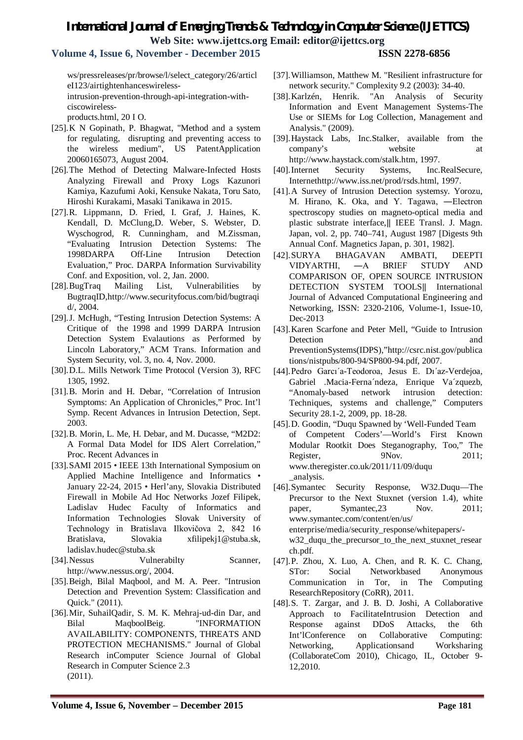**Volume 4, Issue 6, November - December 2015 ISSN 2278-6856**

ws/pressreleases/pr/browse/l/select\_category/26/articl eI123/airtightenhanceswirelessintrusion-prevention-through-api-integration-with-

ciscowireless-

products.html, 20 I O.

- [25].K N Gopinath, P. Bhagwat, "Method and a system for regulating, disrupting and preventing access to the wireless medium", US PatentApplication 20060165073, August 2004.
- [26].The Method of Detecting Malware-Infected Hosts Analyzing Firewall and Proxy Logs Kazunori Kamiya, Kazufumi Aoki, Kensuke Nakata, Toru Sato, Hiroshi Kurakami, Masaki Tanikawa in 2015.
- [27].R. Lippmann, D. Fried, I. Graf, J. Haines, K. Kendall, D. McClung,D. Weber, S. Webster, D. Wyschogrod, R. Cunningham, and M.Zissman, "Evaluating Intrusion Detection Systems: The 1998DARPA Off-Line Intrusion Detection Evaluation," Proc. DARPA Information Survivability Conf. and Exposition, vol. 2, Jan. 2000.
- [28].BugTraq Mailing List, Vulnerabilities by BugtraqID,http://www.securityfocus.com/bid/bugtraqi d/, 2004.
- [29].J. McHugh, "Testing Intrusion Detection Systems: A Critique of the 1998 and 1999 DARPA Intrusion Detection System Evalautions as Performed by Lincoln Laboratory," ACM Trans. Information and System Security, vol. 3, no. 4, Nov. 2000.
- [30].D.L. Mills Network Time Protocol (Version 3), RFC 1305, 1992.
- [31].B. Morin and H. Debar, "Correlation of Intrusion Symptoms: An Application of Chronicles," Proc. Int'l Symp. Recent Advances in Intrusion Detection, Sept. 2003.
- [32].B. Morin, L. Me, H. Debar, and M. Ducasse, "M2D2: A Formal Data Model for IDS Alert Correlation," Proc. Recent Advances in
- [33].SAMI 2015 IEEE 13th International Symposium on Applied Machine Intelligence and Informatics • January 22-24, 2015 • Herl'any, Slovakia Distributed Firewall in Mobile Ad Hoc Networks Jozef Filipek, Ladislav Hudec Faculty of Informatics and Information Technologies Slovak University of Technology in Bratislava Ilkovičova 2, 842 16 Bratislava, Slovakia xfilipekj1@stuba.sk, ladislav.hudec@stuba.sk
- [34]. Nessus Vulnerabilty Scanner, http://www.nessus.org/, 2004.
- [35].Beigh, Bilal Maqbool, and M. A. Peer. "Intrusion Detection and Prevention System: Classification and Quick." (2011).
- [36].Mir, SuhailQadir, S. M. K. Mehraj-ud-din Dar, and Bilal MaqboolBeig. "INFORMATION AVAILABILITY: COMPONENTS, THREATS AND PROTECTION MECHANISMS." Journal of Global Research inComputer Science Journal of Global Research in Computer Science 2.3 (2011).
- [37].Williamson, Matthew M. "Resilient infrastructure for network security." Complexity 9.2 (2003): 34-40.
- [38].Karlzén, Henrik. "An Analysis of Security Information and Event Management Systems-The Use or SIEMs for Log Collection, Management and Analysis." (2009).
- [39].Haystack Labs, Inc.Stalker, available from the company's website at http://www.haystack.com/stalk.htm, 1997.
- [40].Internet Security Systems, Inc.RealSecure, Internethttp://www.iss.net/prod/rsds.html, 1997.
- [41].A Survey of Intrusion Detection systemsy. Yorozu, M. Hirano, K. Oka, and Y. Tagawa, ―Electron spectroscopy studies on magneto-optical media and plastic substrate interface,‖ IEEE Transl. J. Magn. Japan, vol. 2, pp. 740–741, August 1987 [Digests 9th Annual Conf. Magnetics Japan, p. 301, 1982].
- [42].SURYA BHAGAVAN AMBATI, DEEPTI VIDYARTHI, ―A BRIEF STUDY AND COMPARISON OF, OPEN SOURCE INTRUSION DETECTION SYSTEM TOOLS‖ International Journal of Advanced Computational Engineering and Networking, ISSN: 2320-2106, Volume-1, Issue-10, Dec-2013
- [43].Karen Scarfone and Peter Mell, "Guide to Intrusion Detection and PreventionSystems(IDPS),"http://csrc.nist.gov/publica tions/nistpubs/800-94/SP800-94.pdf, 2007.
- [44].Pedro Garcı´a-Teodoroa, Jesus E. Dı´az-Verdejoa, Gabriel .Macia-Ferna´ndeza, Enrique Va´zquezb, "Anomaly-based network intrusion detection: Techniques, systems and challenge," Computers Security 28.1-2, 2009, pp. 18-28.
- [45].D. Goodin, "Duqu Spawned by 'Well-Funded Team of Competent Coders'—World's First Known Modular Rootkit Does Steganography, Too," The Register, 9Nov. 2011; www.theregister.co.uk/2011/11/09/duqu \_analysis.
- [46].Symantec Security Response, W32.Duqu—The Precursor to the Next Stuxnet (version 1.4), white paper, Symantec, 23 Nov. 2011; www.symantec.com/content/en/us/ enterprise/media/security\_response/whitepapers/ w32\_duqu\_the\_precursor\_to\_the\_next\_stuxnet\_resear ch.pdf.
- [47].P. Zhou, X. Luo, A. Chen, and R. K. C. Chang, STor: Social Networkbased Anonymous Communication in Tor, in The Computing ResearchRepository (CoRR), 2011.
- [48].S. T. Zargar, and J. B. D. Joshi, A Collaborative Approach to FacilitateIntrusion Detection and Response against DDoS Attacks, the 6th Int'lConference on Collaborative Computing: Networking, Applicationsand Worksharing (CollaborateCom 2010), Chicago, IL, October 9- 12,2010.